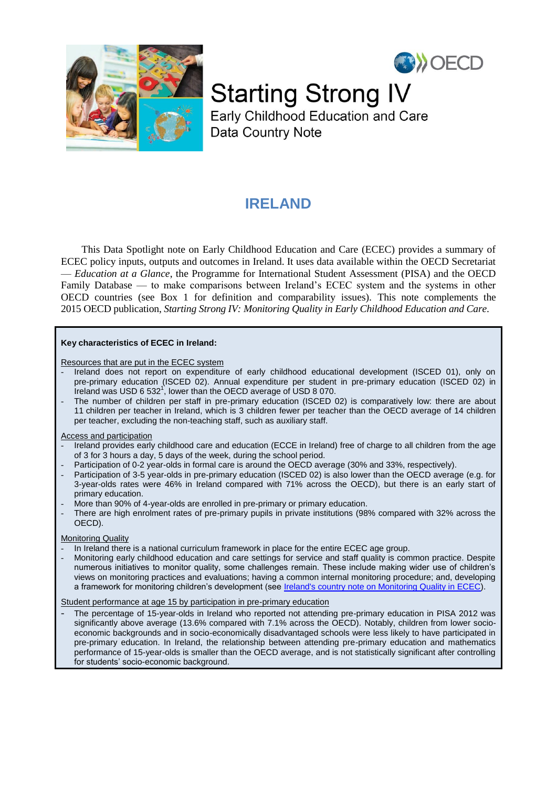



**Starting Strong IV** 

Early Childhood Education and Care Data Country Note

# **IRELAND**

This Data Spotlight note on Early Childhood Education and Care (ECEC) provides a summary of ECEC policy inputs, outputs and outcomes in Ireland. It uses data available within the OECD Secretariat — *Education at a Glance*, the Programme for International Student Assessment (PISA) and the OECD Family Database — to make comparisons between Ireland's ECEC system and the systems in other OECD countries (see Box 1 for definition and comparability issues). This note complements the 2015 OECD publication, *Starting Strong IV: Monitoring Quality in Early Childhood Education and Care*.

#### **Key characteristics of ECEC in Ireland:**

Resources that are put in the ECEC system

- Ireland does not report on expenditure of early childhood educational development (ISCED 01), only on pre-primary education (ISCED 02). Annual expenditure per student in pre-primary education (ISCED 02) in Ireland was USD 6 532<sup>1</sup>, lower than the OECD average of USD 8 070.
- The number of children per staff in pre-primary education (ISCED 02) is comparatively low: there are about 11 children per teacher in Ireland, which is 3 children fewer per teacher than the OECD average of 14 children per teacher, excluding the non-teaching staff, such as auxiliary staff.

#### Access and participation

- Ireland provides early childhood care and education (ECCE in Ireland) free of charge to all children from the age of 3 for 3 hours a day, 5 days of the week, during the school period.
- Participation of 0-2 year-olds in formal care is around the OECD average (30% and 33%, respectively).
- Participation of 3-5 year-olds in pre-primary education (ISCED 02) is also lower than the OECD average (e.g. for 3-year-olds rates were 46% in Ireland compared with 71% across the OECD), but there is an early start of primary education.
- More than 90% of 4-year-olds are enrolled in pre-primary or primary education.
- There are high enrolment rates of pre-primary pupils in private institutions (98% compared with 32% across the OECD).

# Monitoring Quality

- In Ireland there is a national curriculum framework in place for the entire ECEC age group.
- Monitoring early childhood education and care settings for service and staff quality is common practice. Despite numerous initiatives to monitor quality, some challenges remain. These include making wider use of children's views on monitoring practices and evaluations; having a common internal monitoring procedure; and, developing a framework for monitoring children's development (see [Ireland's country note on Monitoring Quality in ECEC\)](http://www.oecd.org/edu/school/ECECMN-Ireland.pdf).

Student performance at age 15 by participation in pre-primary education

The percentage of 15-year-olds in Ireland who reported not attending pre-primary education in PISA 2012 was significantly above average (13.6% compared with 7.1% across the OECD). Notably, children from lower socioeconomic backgrounds and in socio-economically disadvantaged schools were less likely to have participated in pre-primary education. In Ireland, the relationship between attending pre-primary education and mathematics performance of 15-year-olds is smaller than the OECD average, and is not statistically significant after controlling for students' socio-economic background.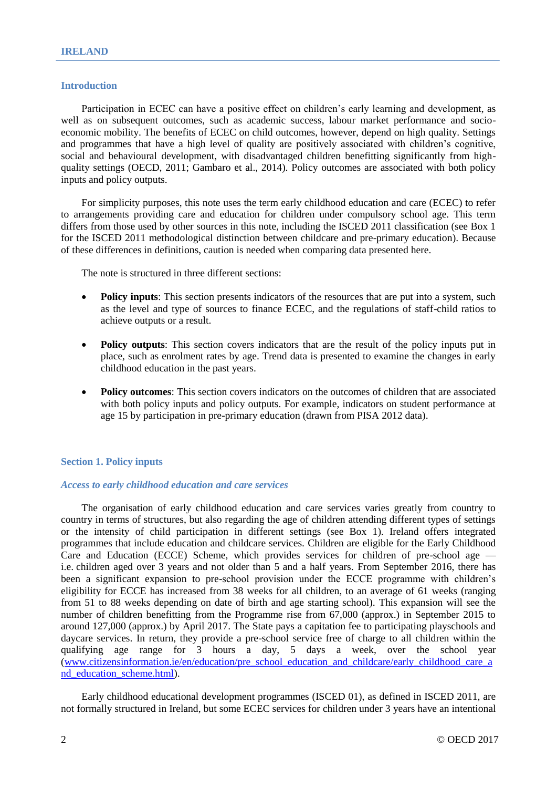# **Introduction**

Participation in ECEC can have a positive effect on children's early learning and development, as well as on subsequent outcomes, such as academic success, labour market performance and socioeconomic mobility. The benefits of ECEC on child outcomes, however, depend on high quality. Settings and programmes that have a high level of quality are positively associated with children's cognitive, social and behavioural development, with disadvantaged children benefitting significantly from highquality settings (OECD, 2011; Gambaro et al., 2014). Policy outcomes are associated with both policy inputs and policy outputs.

For simplicity purposes, this note uses the term early childhood education and care (ECEC) to refer to arrangements providing care and education for children under compulsory school age. This term differs from those used by other sources in this note, including the ISCED 2011 classification (see Box 1 for the ISCED 2011 methodological distinction between childcare and pre-primary education). Because of these differences in definitions, caution is needed when comparing data presented here.

The note is structured in three different sections:

- **Policy inputs**: This section presents indicators of the resources that are put into a system, such as the level and type of sources to finance ECEC, and the regulations of staff-child ratios to achieve outputs or a result.
- **Policy outputs**: This section covers indicators that are the result of the policy inputs put in place, such as enrolment rates by age. Trend data is presented to examine the changes in early childhood education in the past years.
- **Policy outcomes**: This section covers indicators on the outcomes of children that are associated with both policy inputs and policy outputs. For example, indicators on student performance at age 15 by participation in pre-primary education (drawn from PISA 2012 data).

# **Section 1. Policy inputs**

# *Access to early childhood education and care services*

The organisation of early childhood education and care services varies greatly from country to country in terms of structures, but also regarding the age of children attending different types of settings or the intensity of child participation in different settings (see Box 1). Ireland offers integrated programmes that include education and childcare services. Children are eligible for the Early Childhood Care and Education (ECCE) Scheme, which provides services for children of pre-school age i.e. children aged over 3 years and not older than 5 and a half years. From September 2016, there has been a significant expansion to pre-school provision under the ECCE programme with children's eligibility for ECCE has increased from 38 weeks for all children, to an average of 61 weeks (ranging from 51 to 88 weeks depending on date of birth and age starting school). This expansion will see the number of children benefitting from the Programme rise from 67,000 (approx.) in September 2015 to around 127,000 (approx.) by April 2017. The State pays a capitation fee to participating playschools and daycare services. In return, they provide a pre-school service free of charge to all children within the qualifying age range for 3 hours a day, 5 days a week, over the school year [\(www.citizensinformation.ie/en/education/pre\\_school\\_education\\_and\\_childcare/early\\_childhood\\_care\\_a](http://www.citizensinformation.ie/en/education/pre_school_education_and_childcare/early_childhood_care_and_education_scheme.html) nd education scheme.html).

Early childhood educational development programmes (ISCED 01), as defined in ISCED 2011, are not formally structured in Ireland, but some ECEC services for children under 3 years have an intentional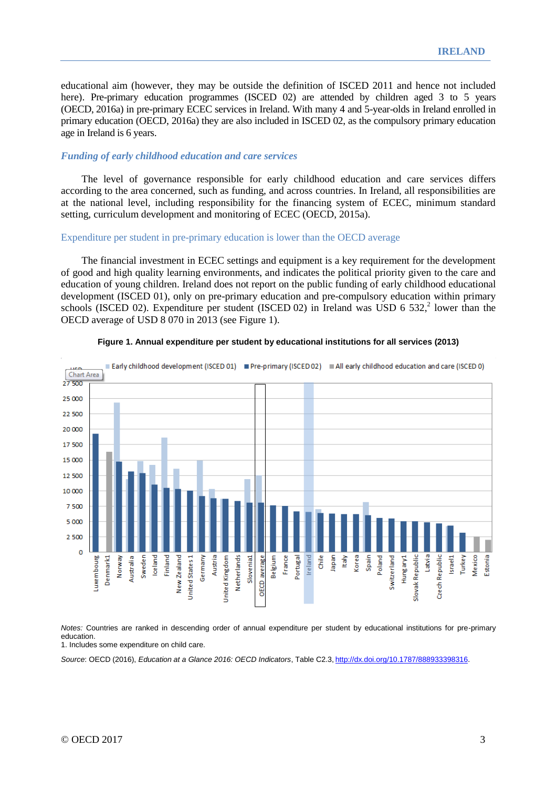educational aim (however, they may be outside the definition of ISCED 2011 and hence not included here). Pre-primary education programmes (ISCED 02) are attended by children aged 3 to 5 years (OECD, 2016a) in pre-primary ECEC services in Ireland. With many 4 and 5-year-olds in Ireland enrolled in primary education (OECD, 2016a) they are also included in ISCED 02, as the compulsory primary education age in Ireland is 6 years.

#### *Funding of early childhood education and care services*

The level of governance responsible for early childhood education and care services differs according to the area concerned, such as funding, and across countries. In Ireland, all responsibilities are at the national level, including responsibility for the financing system of ECEC, minimum standard setting, curriculum development and monitoring of ECEC (OECD, 2015a).

#### Expenditure per student in pre-primary education is lower than the OECD average

The financial investment in ECEC settings and equipment is a key requirement for the development of good and high quality learning environments, and indicates the political priority given to the care and education of young children. Ireland does not report on the public funding of early childhood educational development (ISCED 01), only on pre-primary education and pre-compulsory education within primary schools (ISCED 02). Expenditure per student (ISCED 02) in Ireland was USD 6 532,<sup>2</sup> lower than the OECD average of USD 8 070 in 2013 (see Figure 1).



#### **Figure 1. Annual expenditure per student by educational institutions for all services (2013)**

*Notes:* Countries are ranked in descending order of annual expenditure per student by educational institutions for pre-primary education.

1. Includes some expenditure on child care.

*Source*: OECD (2016), *Education at a Glance 2016: OECD Indicators*, Table C2.3, [http://dx.doi.org/10.1787/888933398316.](http://dx.doi.org/10.1787/888933398316)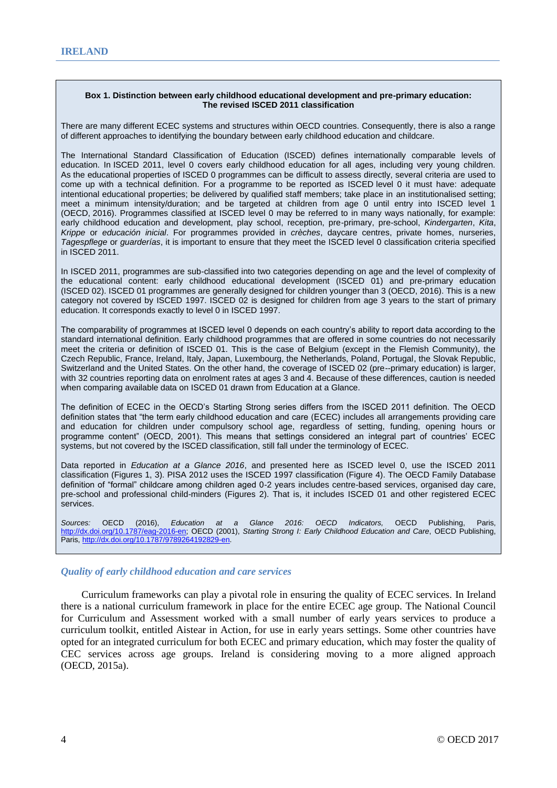#### **Box 1. Distinction between early childhood educational development and pre-primary education: The revised ISCED 2011 classification**

There are many different ECEC systems and structures within OECD countries. Consequently, there is also a range of different approaches to identifying the boundary between early childhood education and childcare.

The International Standard Classification of Education (ISCED) defines internationally comparable levels of education. In ISCED 2011, level 0 covers early childhood education for all ages, including very young children. As the educational properties of ISCED 0 programmes can be difficult to assess directly, several criteria are used to come up with a technical definition. For a programme to be reported as ISCED level 0 it must have: adequate intentional educational properties; be delivered by qualified staff members; take place in an institutionalised setting; meet a minimum intensity/duration; and be targeted at children from age 0 until entry into ISCED level 1 (OECD, 2016). Programmes classified at ISCED level 0 may be referred to in many ways nationally, for example: early childhood education and development, play school, reception, pre-primary, pre-school, *Kindergarten*, *Kita*, *Krippe* or *educación inicial*. For programmes provided in *crèches*, daycare centres, private homes, nurseries, *Tagespflege* or *guarderías*, it is important to ensure that they meet the ISCED level 0 classification criteria specified in ISCED 2011.

In ISCED 2011, programmes are sub-classified into two categories depending on age and the level of complexity of the educational content: early childhood educational development (ISCED 01) and pre-primary education (ISCED 02). ISCED 01 programmes are generally designed for children younger than 3 (OECD, 2016). This is a new category not covered by ISCED 1997. ISCED 02 is designed for children from age 3 years to the start of primary education. It corresponds exactly to level 0 in ISCED 1997.

The comparability of programmes at ISCED level 0 depends on each country's ability to report data according to the standard international definition. Early childhood programmes that are offered in some countries do not necessarily meet the criteria or definition of ISCED 01. This is the case of Belgium (except in the Flemish Community), the Czech Republic, France, Ireland, Italy, Japan, Luxembourg, the Netherlands, Poland, Portugal, the Slovak Republic, Switzerland and the United States. On the other hand, the coverage of ISCED 02 (pre--primary education) is larger, with 32 countries reporting data on enrolment rates at ages 3 and 4. Because of these differences, caution is needed when comparing available data on ISCED 01 drawn from Education at a Glance.

The definition of ECEC in the OECD's Starting Strong series differs from the ISCED 2011 definition. The OECD definition states that "the term early childhood education and care (ECEC) includes all arrangements providing care and education for children under compulsory school age, regardless of setting, funding, opening hours or programme content" (OECD, 2001). This means that settings considered an integral part of countries' ECEC systems, but not covered by the ISCED classification, still fall under the terminology of ECEC.

Data reported in *Education at a Glance 2016*, and presented here as ISCED level 0, use the ISCED 2011 classification (Figures 1, 3). PISA 2012 uses the ISCED 1997 classification (Figure 4). The OECD Family Database definition of "formal" childcare among children aged 0-2 years includes centre-based services, organised day care, pre-school and professional child-minders (Figures 2). That is, it includes ISCED 01 and other registered ECEC services.

*Sources:* OECD (2016), *Education at a Glance 2016: OECD Indicators,* OECD Publishing, Paris, [http://dx.doi.org/10.1787/eag-2016-en;](http://dx.doi.org/10.1787/eag-2016-en) OECD (2001), *Starting Strong I: Early Childhood Education and Care*, OECD Publishing, Paris, http://dx.doi.org/10.1787/9789264192829-en.

# *Quality of early childhood education and care services*

Curriculum frameworks can play a pivotal role in ensuring the quality of ECEC services. In Ireland there is a national curriculum framework in place for the entire ECEC age group. The National Council for Curriculum and Assessment worked with a small number of early years services to produce a curriculum toolkit, entitled Aistear in Action, for use in early years settings. Some other countries have opted for an integrated curriculum for both ECEC and primary education, which may foster the quality of CEC services across age groups. Ireland is considering moving to a more aligned approach (OECD, 2015a).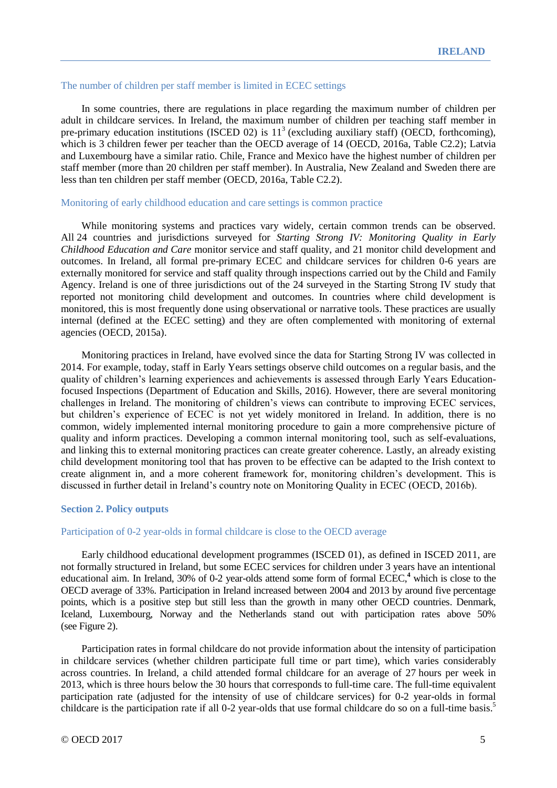#### The number of children per staff member is limited in ECEC settings

In some countries, there are regulations in place regarding the maximum number of children per adult in childcare services. In Ireland, the maximum number of children per teaching staff member in pre-primary education institutions (ISCED 02) is  $11<sup>3</sup>$  (excluding auxiliary staff) (OECD, forthcoming), which is 3 children fewer per teacher than the OECD average of 14 (OECD, 2016a, Table C2.2); Latvia and Luxembourg have a similar ratio. Chile, France and Mexico have the highest number of children per staff member (more than 20 children per staff member). In Australia, New Zealand and Sweden there are less than ten children per staff member (OECD, 2016a, Table C2.2).

# Monitoring of early childhood education and care settings is common practice

While monitoring systems and practices vary widely, certain common trends can be observed. All 24 countries and jurisdictions surveyed for *Starting Strong IV: Monitoring Quality in Early Childhood Education and Care* monitor service and staff quality, and 21 monitor child development and outcomes. In Ireland, all formal pre-primary ECEC and childcare services for children 0-6 years are externally monitored for service and staff quality through inspections carried out by the Child and Family Agency. Ireland is one of three jurisdictions out of the 24 surveyed in the Starting Strong IV study that reported not monitoring child development and outcomes. In countries where child development is monitored, this is most frequently done using observational or narrative tools. These practices are usually internal (defined at the ECEC setting) and they are often complemented with monitoring of external agencies (OECD, 2015a).

Monitoring practices in Ireland, have evolved since the data for Starting Strong IV was collected in 2014. For example, today, staff in Early Years settings observe child outcomes on a regular basis, and the quality of children's learning experiences and achievements is assessed through Early Years Educationfocused Inspections (Department of Education and Skills, 2016). However, there are several monitoring challenges in Ireland. The monitoring of children's views can contribute to improving ECEC services, but children's experience of ECEC is not yet widely monitored in Ireland. In addition, there is no common, widely implemented internal monitoring procedure to gain a more comprehensive picture of quality and inform practices. Developing a common internal monitoring tool, such as self-evaluations, and linking this to external monitoring practices can create greater coherence. Lastly, an already existing child development monitoring tool that has proven to be effective can be adapted to the Irish context to create alignment in, and a more coherent framework for, monitoring children's development. This is discussed in further detail in Ireland's country note on Monitoring Quality in ECEC (OECD, 2016b).

# **Section 2. Policy outputs**

# Participation of 0-2 year-olds in formal childcare is close to the OECD average

Early childhood educational development programmes (ISCED 01), as defined in ISCED 2011, are not formally structured in Ireland, but some ECEC services for children under 3 years have an intentional educational aim. In Ireland, 30% of 0-2 year-olds attend some form of formal ECEC, **<sup>4</sup>** which is close to the OECD average of 33%. Participation in Ireland increased between 2004 and 2013 by around five percentage points, which is a positive step but still less than the growth in many other OECD countries. Denmark, Iceland, Luxembourg, Norway and the Netherlands stand out with participation rates above 50% (see Figure 2).

Participation rates in formal childcare do not provide information about the intensity of participation in childcare services (whether children participate full time or part time), which varies considerably across countries. In Ireland, a child attended formal childcare for an average of 27 hours per week in 2013, which is three hours below the 30 hours that corresponds to full-time care. The full-time equivalent participation rate (adjusted for the intensity of use of childcare services) for 0-2 year-olds in formal childcare is the participation rate if all 0-2 year-olds that use formal childcare do so on a full-time basis.<sup>5</sup>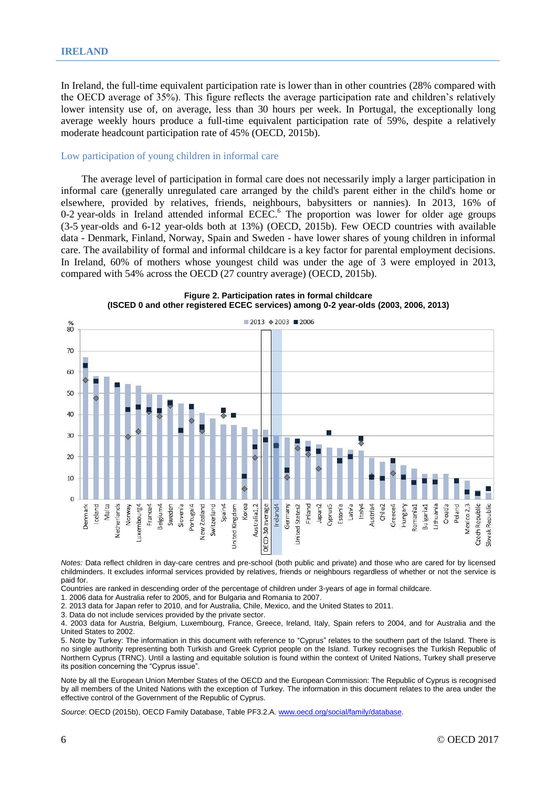In Ireland, the full-time equivalent participation rate is lower than in other countries (28% compared with the OECD average of 35%). This figure reflects the average participation rate and children's relatively lower intensity use of, on average, less than 30 hours per week. In Portugal, the exceptionally long average weekly hours produce a full-time equivalent participation rate of 59%, despite a relatively moderate headcount participation rate of 45% (OECD, 2015b).

#### Low participation of young children in informal care

The average level of participation in formal care does not necessarily imply a larger participation in informal care (generally unregulated care arranged by the child's parent either in the child's home or elsewhere, provided by relatives, friends, neighbours, babysitters or nannies). In 2013, 16% of 0-2 year-olds in Ireland attended informal ECEC.<sup>6</sup> The proportion was lower for older age groups (3-5 year-olds and 6-12 year-olds both at 13%) (OECD, 2015b). Few OECD countries with available data - Denmark, Finland, Norway, Spain and Sweden - have lower shares of young children in informal care. The availability of formal and informal childcare is a key factor for parental employment decisions. In Ireland, 60% of mothers whose youngest child was under the age of 3 were employed in 2013, compared with 54% across the OECD (27 country average) (OECD, 2015b).



**Figure 2. Participation rates in formal childcare (ISCED 0 and other registered ECEC services) among 0-2 year-olds (2003, 2006, 2013)**

*Notes:* Data reflect children in day-care centres and pre-school (both public and private) and those who are cared for by licensed childminders. It excludes informal services provided by relatives, friends or neighbours regardless of whether or not the service is paid for.

Countries are ranked in descending order of the percentage of children under 3-years of age in formal childcare.

1. 2006 data for Australia refer to 2005, and for Bulgaria and Romania to 2007.

2. 2013 data for Japan refer to 2010, and for Australia, Chile, Mexico, and the United States to 2011.

3. Data do not include services provided by the private sector.

4. 2003 data for Austria, Belgium, Luxembourg, France, Greece, Ireland, Italy, Spain refers to 2004, and for Australia and the United States to 2002.

5. Note by Turkey: The information in this document with reference to "Cyprus" relates to the southern part of the Island. There is no single authority representing both Turkish and Greek Cypriot people on the Island. Turkey recognises the Turkish Republic of Northern Cyprus (TRNC). Until a lasting and equitable solution is found within the context of United Nations, Turkey shall preserve its position concerning the "Cyprus issue".

Note by all the European Union Member States of the OECD and the European Commission: The Republic of Cyprus is recognised by all members of the United Nations with the exception of Turkey. The information in this document relates to the area under the effective control of the Government of the Republic of Cyprus.

*Source*: OECD (2015b), OECD Family Database, Table PF3.2.A[. www.oecd.org/social/family/database.](http://www.oecd.org/social/family/database)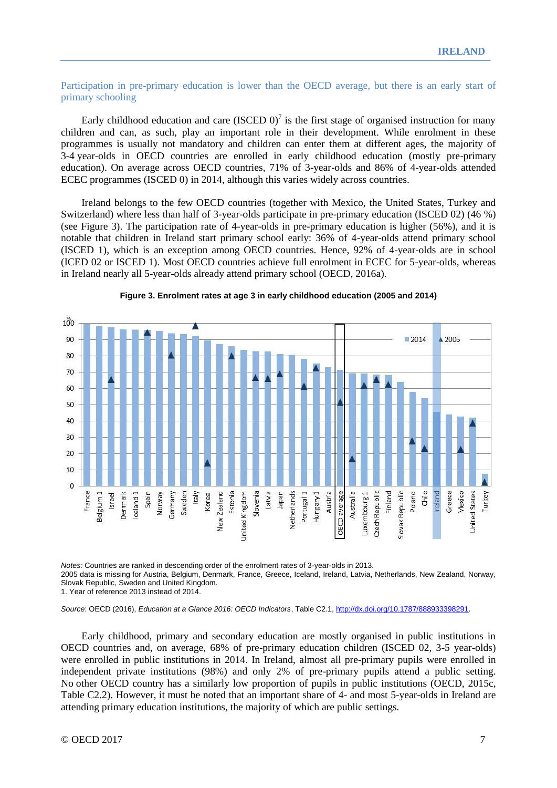# Participation in pre-primary education is lower than the OECD average, but there is an early start of primary schooling

Early childhood education and care (ISCED  $0$ )<sup>7</sup> is the first stage of organised instruction for many children and can, as such, play an important role in their development. While enrolment in these programmes is usually not mandatory and children can enter them at different ages, the majority of 3-4 year-olds in OECD countries are enrolled in early childhood education (mostly pre-primary education). On average across OECD countries, 71% of 3-year-olds and 86% of 4-year-olds attended ECEC programmes (ISCED 0) in 2014, although this varies widely across countries.

Ireland belongs to the few OECD countries (together with Mexico, the United States, Turkey and Switzerland) where less than half of 3-year-olds participate in pre-primary education (ISCED 02) (46 %) (see Figure 3). The participation rate of 4-year-olds in pre-primary education is higher (56%), and it is notable that children in Ireland start primary school early: 36% of 4-year-olds attend primary school (ISCED 1), which is an exception among OECD countries. Hence, 92% of 4-year-olds are in school (ICED 02 or ISCED 1). Most OECD countries achieve full enrolment in ECEC for 5-year-olds, whereas in Ireland nearly all 5-year-olds already attend primary school (OECD, 2016a).



#### **Figure 3. Enrolment rates at age 3 in early childhood education (2005 and 2014)**

*Notes:* Countries are ranked in descending order of the enrolment rates of 3-year-olds in 2013. 2005 data is missing for Austria, Belgium, Denmark, France, Greece, Iceland, Ireland, Latvia, Netherlands, New Zealand, Norway, Slovak Republic, Sweden and United Kingdom. 1. Year of reference 2013 instead of 2014.

*Source*: OECD (2016), *Education at a Glance 2016: OECD Indicators*, Table C2.1, [http://dx.doi.org/10.1787/888933398291.](http://dx.doi.org/10.1787/888933398291)

Early childhood, primary and secondary education are mostly organised in public institutions in OECD countries and, on average, 68% of pre-primary education children (ISCED 02, 3-5 year-olds) were enrolled in public institutions in 2014. In Ireland, almost all pre-primary pupils were enrolled in independent private institutions (98%) and only 2% of pre-primary pupils attend a public setting. No other OECD country has a similarly low proportion of pupils in public institutions (OECD, 2015c, Table C2.2). However, it must be noted that an important share of 4- and most 5-year-olds in Ireland are attending primary education institutions, the majority of which are public settings.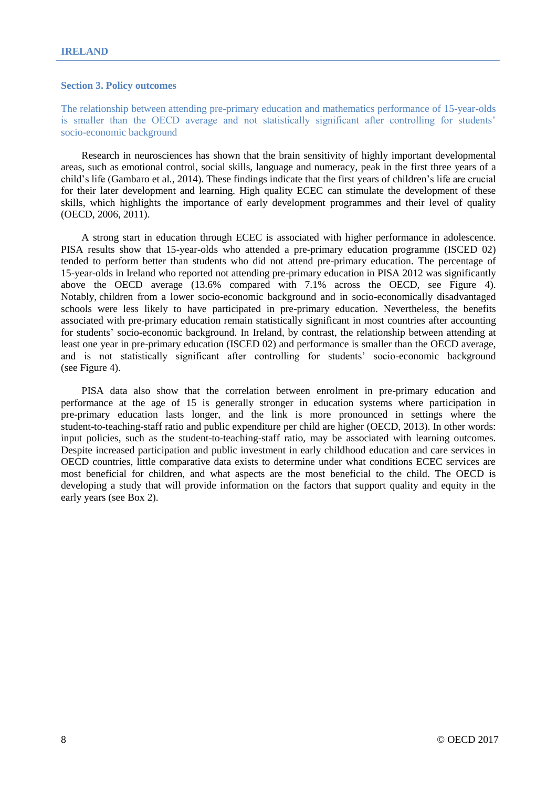# **Section 3. Policy outcomes**

The relationship between attending pre-primary education and mathematics performance of 15-year-olds is smaller than the OECD average and not statistically significant after controlling for students' socio-economic background

Research in neurosciences has shown that the brain sensitivity of highly important developmental areas, such as emotional control, social skills, language and numeracy, peak in the first three years of a child's life (Gambaro et al*.*, 2014). These findings indicate that the first years of children's life are crucial for their later development and learning. High quality ECEC can stimulate the development of these skills, which highlights the importance of early development programmes and their level of quality (OECD, 2006, 2011).

A strong start in education through ECEC is associated with higher performance in adolescence. PISA results show that 15-year-olds who attended a pre-primary education programme (ISCED 02) tended to perform better than students who did not attend pre-primary education. The percentage of 15-year-olds in Ireland who reported not attending pre-primary education in PISA 2012 was significantly above the OECD average (13.6% compared with 7.1% across the OECD, see Figure 4). Notably, children from a lower socio-economic background and in socio-economically disadvantaged schools were less likely to have participated in pre-primary education. Nevertheless, the benefits associated with pre-primary education remain statistically significant in most countries after accounting for students' socio-economic background. In Ireland, by contrast, the relationship between attending at least one year in pre-primary education (ISCED 02) and performance is smaller than the OECD average, and is not statistically significant after controlling for students' socio-economic background (see Figure 4).

PISA data also show that the correlation between enrolment in pre-primary education and performance at the age of 15 is generally stronger in education systems where participation in pre-primary education lasts longer, and the link is more pronounced in settings where the student-to-teaching-staff ratio and public expenditure per child are higher (OECD, 2013). In other words: input policies, such as the student-to-teaching-staff ratio, may be associated with learning outcomes. Despite increased participation and public investment in early childhood education and care services in OECD countries, little comparative data exists to determine under what conditions ECEC services are most beneficial for children, and what aspects are the most beneficial to the child. The OECD is developing a study that will provide information on the factors that support quality and equity in the early years (see Box 2).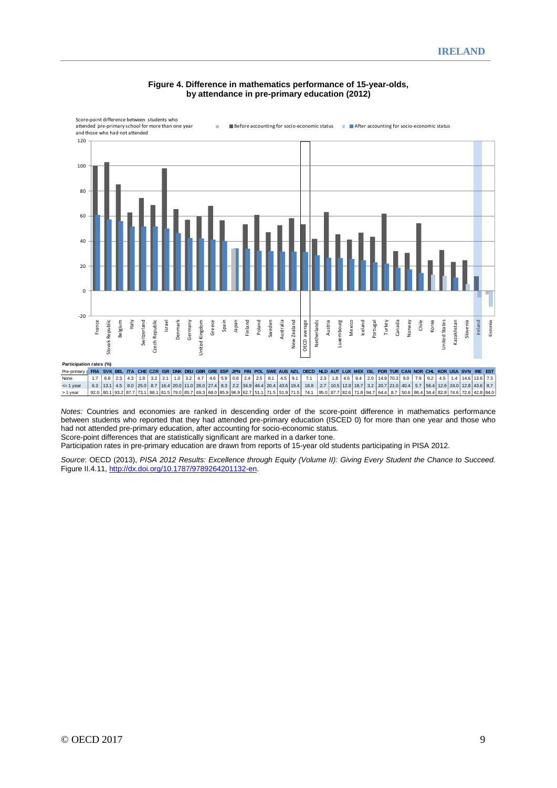

#### **Figure 4. Difference in mathematics performance of 15-year-olds, by attendance in pre-primary education (2012)**

*Notes:* Countries and economies are ranked in descending order of the score-point difference in mathematics performance between students who reported that they had attended pre-primary education (ISCED 0) for more than one year and those who had not attended pre-primary education, after accounting for socio-economic status*.* Score-point differences that are statistically significant are marked in a darker tone.

Participation rates in pre-primary education are drawn from reports of 15-year old students participating in PISA 2012.

*Source*: OECD (2013), *PISA 2012 Results: Excellence through Equity (Volume II): Giving Every Student the Chance to Succeed.*  Figure II.4.11, [http://dx.doi.org/10.1787/9789264201132-en.](http://dx.doi.org/10.1787/9789264201132-en)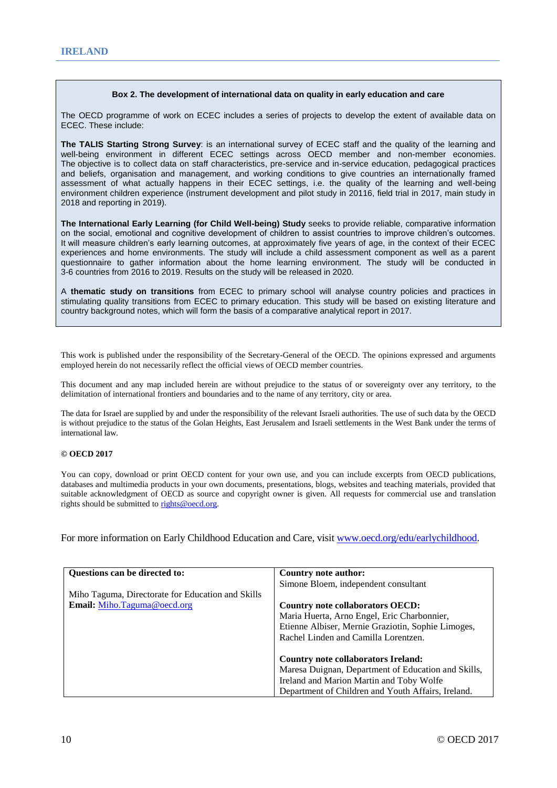#### **Box 2. The development of international data on quality in early education and care**

The OECD programme of work on ECEC includes a series of projects to develop the extent of available data on ECEC. These include:

**The TALIS Starting Strong Survey**: is an international survey of ECEC staff and the quality of the learning and well-being environment in different ECEC settings across OECD member and non-member economies. The objective is to collect data on staff characteristics, pre-service and in-service education, pedagogical practices and beliefs, organisation and management, and working conditions to give countries an internationally framed assessment of what actually happens in their ECEC settings, i.e. the quality of the learning and well-being environment children experience (instrument development and pilot study in 20116, field trial in 2017, main study in 2018 and reporting in 2019).

**The International Early Learning (for Child Well-being) Study** seeks to provide reliable, comparative information on the social, emotional and cognitive development of children to assist countries to improve children's outcomes. It will measure children's early learning outcomes, at approximately five years of age, in the context of their ECEC experiences and home environments. The study will include a child assessment component as well as a parent questionnaire to gather information about the home learning environment. The study will be conducted in 3-6 countries from 2016 to 2019. Results on the study will be released in 2020.

A **thematic study on transitions** from ECEC to primary school will analyse country policies and practices in stimulating quality transitions from ECEC to primary education. This study will be based on existing literature and country background notes, which will form the basis of a comparative analytical report in 2017.

This work is published under the responsibility of the Secretary-General of the OECD. The opinions expressed and arguments employed herein do not necessarily reflect the official views of OECD member countries.

This document and any map included herein are without prejudice to the status of or sovereignty over any territory, to the delimitation of international frontiers and boundaries and to the name of any territory, city or area.

The data for Israel are supplied by and under the responsibility of the relevant Israeli authorities. The use of such data by the OECD is without prejudice to the status of the Golan Heights, East Jerusalem and Israeli settlements in the West Bank under the terms of international law.

#### **© OECD 2017**

You can copy, download or print OECD content for your own use, and you can include excerpts from OECD publications, databases and multimedia products in your own documents, presentations, blogs, websites and teaching materials, provided that suitable acknowledgment of OECD as source and copyright owner is given. All requests for commercial use and translation rights should be submitted to [rights@oecd.org.](mailto:rights@oecd.org)

For more information on Early Childhood Education and Care, visit [www.oecd.org/edu/earlychildhood.](http://www.oecd.org/edu/earlychildhood)

| Questions can be directed to:                     | Country note author:                                |  |  |  |
|---------------------------------------------------|-----------------------------------------------------|--|--|--|
|                                                   | Simone Bloem, independent consultant                |  |  |  |
| Miho Taguma, Directorate for Education and Skills |                                                     |  |  |  |
| Email: Miho.Taguma@oecd.org                       | Country note collaborators OECD:                    |  |  |  |
|                                                   | Maria Huerta, Arno Engel, Eric Charbonnier,         |  |  |  |
|                                                   | Etienne Albiser, Mernie Graziotin, Sophie Limoges,  |  |  |  |
|                                                   | Rachel Linden and Camilla Lorentzen.                |  |  |  |
|                                                   | <b>Country note collaborators Ireland:</b>          |  |  |  |
|                                                   | Maresa Duignan, Department of Education and Skills, |  |  |  |
|                                                   | Ireland and Marion Martin and Toby Wolfe            |  |  |  |
|                                                   | Department of Children and Youth Affairs, Ireland.  |  |  |  |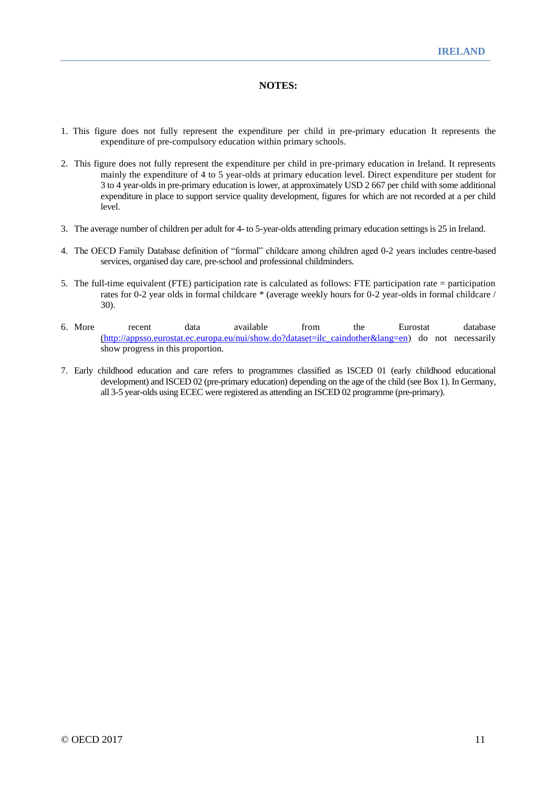# **NOTES:**

- 1. This figure does not fully represent the expenditure per child in pre-primary education It represents the expenditure of pre-compulsory education within primary schools.
- 2. This figure does not fully represent the expenditure per child in pre-primary education in Ireland. It represents mainly the expenditure of 4 to 5 year-olds at primary education level. Direct expenditure per student for 3 to 4 year-olds in pre-primary education is lower, at approximately USD 2 667 per child with some additional expenditure in place to support service quality development, figures for which are not recorded at a per child level.
- 3. The average number of children per adult for 4- to 5-year-olds attending primary education settings is 25 in Ireland.
- 4. The OECD Family Database definition of "formal" childcare among children aged 0-2 years includes centre-based services, organised day care, pre-school and professional childminders.
- 5. The full-time equivalent (FTE) participation rate is calculated as follows: FTE participation rate = participation rates for 0-2 year olds in formal childcare \* (average weekly hours for 0-2 year-olds in formal childcare / 30).
- 6. More recent data available from the Eurostat database [\(http://appsso.eurostat.ec.europa.eu/nui/show.do?dataset=ilc\\_caindother&lang=en\)](http://appsso.eurostat.ec.europa.eu/nui/show.do?dataset=ilc_caindother&lang=en) do not necessarily show progress in this proportion.
- 7. Early childhood education and care refers to programmes classified as ISCED 01 (early childhood educational development) and ISCED 02 (pre-primary education) depending on the age of the child (see Box 1). In Germany, all 3-5 year-olds using ECEC were registered as attending an ISCED 02 programme (pre-primary).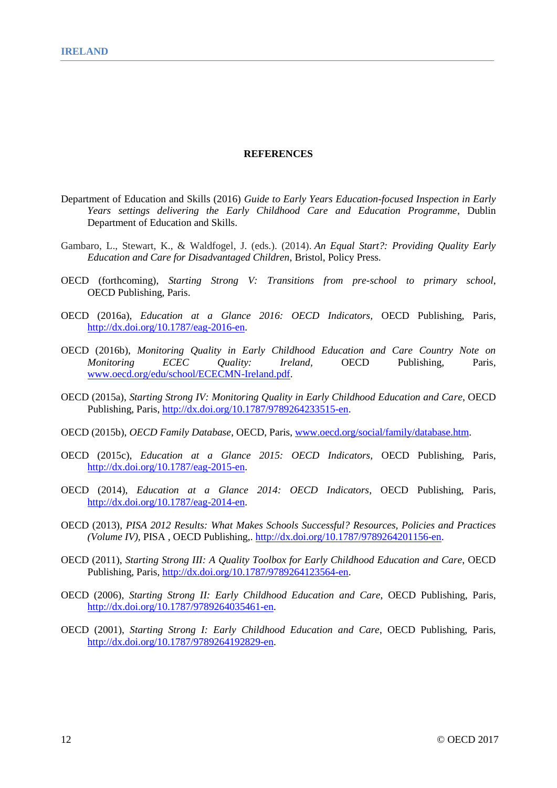#### **REFERENCES**

- Department of Education and Skills (2016) *Guide to Early Years Education-focused Inspection in Early Years settings delivering the Early Childhood Care and Education Programme*, Dublin Department of Education and Skills.
- Gambaro, L., Stewart, K., & Waldfogel, J. (eds.). (2014). *An Equal Start?: Providing Quality Early Education and Care for Disadvantaged Children*, Bristol, Policy Press.
- OECD (forthcoming), *Starting Strong V: Transitions from pre-school to primary school*, OECD Publishing, Paris.
- OECD (2016a), *Education at a Glance 2016: OECD Indicators,* OECD Publishing, Paris, [http://dx.doi.org/10.1787/eag-2016-en.](http://dx.doi.org/10.1787/eag-2016-en)
- OECD (2016b), *Monitoring Quality in Early Childhood Education and Care Country Note on Monitoring ECEC Quality: Ireland,* OECD Publishing, Paris, [www.oecd.org/edu/school/ECECMN-Ireland.pdf.](http://www.oecd.org/edu/school/ECECMN-Ireland.pdf)
- OECD (2015a), *Starting Strong IV: Monitoring Quality in Early Childhood Education and Care*, OECD Publishing, Paris, [http://dx.doi.org/10.1787/9789264233515-en.](http://dx.doi.org/10.1787/9789264233515-en)
- OECD (2015b), *OECD Family Database*, OECD, Paris, [www.oecd.org/social/family/database.htm.](http://www.oecd.org/social/family/database)
- OECD (2015c), *Education at a Glance 2015: OECD Indicators,* OECD Publishing, Paris, [http://dx.doi.org/10.1787/eag-2015-en.](http://dx.doi.org/10.1787/eag-2015-en)
- OECD (2014), *Education at a Glance 2014: OECD Indicators*, OECD Publishing, Paris, [http://dx.doi.org/10.1787/eag-2014-en.](http://dx.doi.org/10.1787/eag-2014-en)
- OECD (2013), *PISA 2012 Results: What Makes Schools Successful? Resources, Policies and Practices (Volume IV),* PISA , OECD Publishing,. [http://dx.doi.org/10.1787/9789264201156-en.](http://dx.doi.org/10.1787/9789264201156-en)
- OECD (2011), *Starting Strong III: A Quality Toolbox for Early Childhood Education and Care*, OECD Publishing, Paris, [http://dx.doi.org/10.1787/9789264123564-en.](http://dx.doi.org/10.1787/9789264123564-en)
- OECD (2006), *Starting Strong II: Early Childhood Education and Care*, OECD Publishing, Paris, [http://dx.doi.org/10.1787/9789264035461-en.](http://dx.doi.org/10.1787/9789264035461-en)
- OECD (2001), *Starting Strong I: Early Childhood Education and Care*, OECD Publishing, Paris, [http://dx.doi.org/10.1787/9789264192829-en.](http://dx.doi.org/10.1787/9789264192829-en)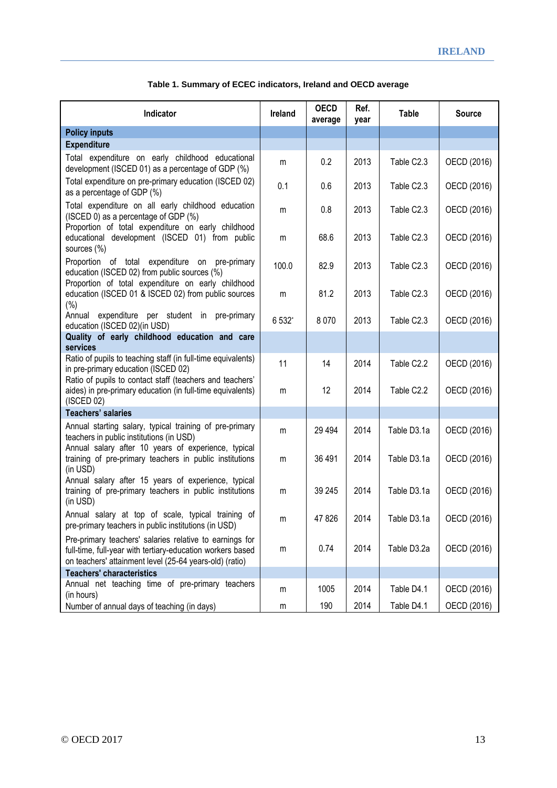| Indicator                                                                                                                                                                        | <b>Ireland</b> | <b>OECD</b><br>average | Ref.<br>year | <b>Table</b>           | <b>Source</b> |
|----------------------------------------------------------------------------------------------------------------------------------------------------------------------------------|----------------|------------------------|--------------|------------------------|---------------|
| <b>Policy inputs</b>                                                                                                                                                             |                |                        |              |                        |               |
| <b>Expenditure</b>                                                                                                                                                               |                |                        |              |                        |               |
| Total expenditure on early childhood educational<br>development (ISCED 01) as a percentage of GDP (%)                                                                            | m              | 0.2                    | 2013         | Table C2.3             | OECD (2016)   |
| Total expenditure on pre-primary education (ISCED 02)<br>as a percentage of GDP (%)                                                                                              | 0.1            | 0.6                    | 2013         | Table C2.3             | OECD (2016)   |
| Total expenditure on all early childhood education<br>(ISCED 0) as a percentage of GDP (%)<br>Proportion of total expenditure on early childhood                                 | m              | 0.8                    | 2013         | Table C2.3             | OECD (2016)   |
| educational development (ISCED 01) from public<br>sources (%)                                                                                                                    | m              | 68.6                   | 2013         | Table C2.3             | OECD (2016)   |
| Proportion of total expenditure on pre-primary<br>education (ISCED 02) from public sources (%)                                                                                   | 100.0          | 82.9                   | 2013         | Table C <sub>2.3</sub> | OECD (2016)   |
| Proportion of total expenditure on early childhood<br>education (ISCED 01 & ISCED 02) from public sources<br>$(\% )$                                                             | m              | 81.2                   | 2013         | Table C2.3             | OECD (2016)   |
| expenditure per student in pre-primary<br>Annual<br>education (ISCED 02)(in USD)                                                                                                 | 6 532*         | 8 0 7 0                | 2013         | Table C2.3             | OECD (2016)   |
| Quality of early childhood education and care                                                                                                                                    |                |                        |              |                        |               |
| services                                                                                                                                                                         |                |                        |              |                        |               |
| Ratio of pupils to teaching staff (in full-time equivalents)<br>in pre-primary education (ISCED 02)<br>Ratio of pupils to contact staff (teachers and teachers'                  | 11             | 14                     | 2014         | Table C2.2             | OECD (2016)   |
| aides) in pre-primary education (in full-time equivalents)<br>(ISCED 02)                                                                                                         | m              | 12                     | 2014         | Table C <sub>2.2</sub> | OECD (2016)   |
| <b>Teachers' salaries</b>                                                                                                                                                        |                |                        |              |                        |               |
| Annual starting salary, typical training of pre-primary<br>teachers in public institutions (in USD)                                                                              | m              | 29 4 94                | 2014         | Table D3.1a            | OECD (2016)   |
| Annual salary after 10 years of experience, typical<br>training of pre-primary teachers in public institutions<br>(in USD)                                                       | m              | 36 491                 | 2014         | Table D3.1a            | OECD (2016)   |
| Annual salary after 15 years of experience, typical<br>training of pre-primary teachers in public institutions                                                                   |                | 39 245                 | 2014         | Table D3.1a            | OECD (2016)   |
| (in USD)                                                                                                                                                                         | m              |                        |              |                        |               |
| Annual salary at top of scale, typical training of<br>pre-primary teachers in public institutions (in USD)                                                                       | m              | 47826                  | 2014         | Table D3.1a            | OECD (2016)   |
| Pre-primary teachers' salaries relative to earnings for<br>full-time, full-year with tertiary-education workers based<br>on teachers' attainment level (25-64 years-old) (ratio) | m              | 0.74                   | 2014         | Table D3.2a            | OECD (2016)   |
| <b>Teachers' characteristics</b>                                                                                                                                                 |                |                        |              |                        |               |
| Annual net teaching time of pre-primary teachers<br>(in hours)                                                                                                                   | m              | 1005                   | 2014         | Table D4.1             | OECD (2016)   |
| Number of annual days of teaching (in days)                                                                                                                                      | m              | 190                    | 2014         | Table D4.1             | OECD (2016)   |

# **Table 1. Summary of ECEC indicators, Ireland and OECD average**